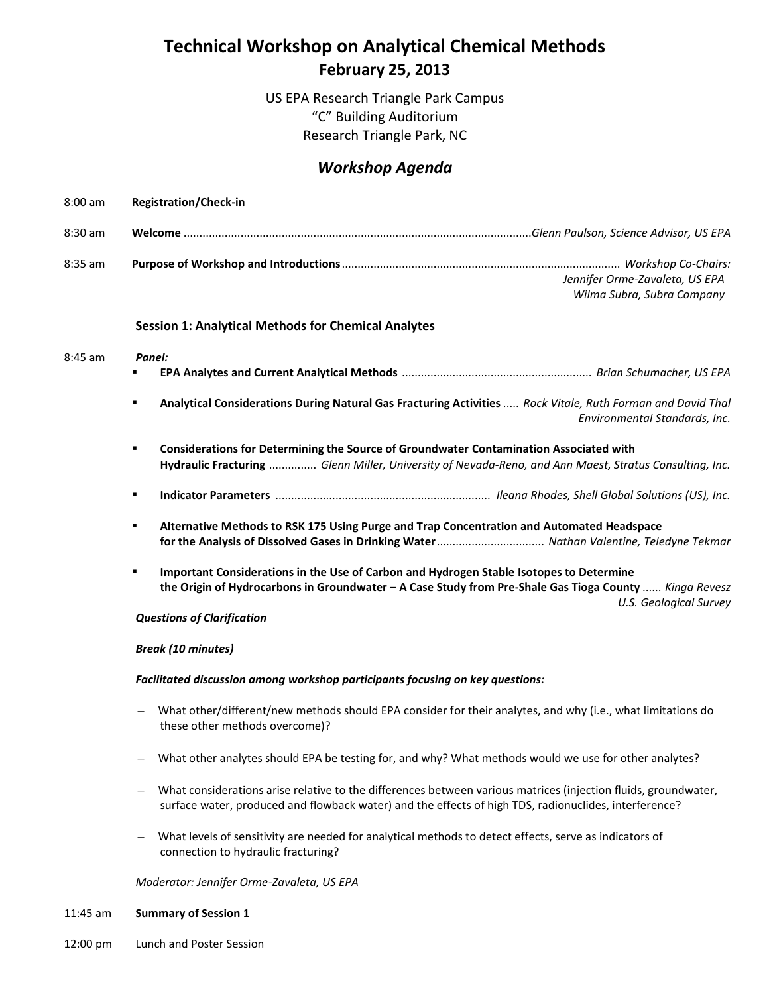# **Technical Workshop on Analytical Chemical Methods February 25, 2013**

US EPA Research Triangle Park Campus "C" Building Auditorium Research Triangle Park, NC

## *Workshop Agenda*

| $8:00$ am | <b>Registration/Check-in</b>                                                                                                                                                                                                            |
|-----------|-----------------------------------------------------------------------------------------------------------------------------------------------------------------------------------------------------------------------------------------|
| 8:30 am   |                                                                                                                                                                                                                                         |
| $8:35$ am | Jennifer Orme-Zavaleta, US EPA<br>Wilma Subra, Subra Company                                                                                                                                                                            |
|           | <b>Session 1: Analytical Methods for Chemical Analytes</b>                                                                                                                                                                              |
| $8:45$ am | Panel:<br>٠                                                                                                                                                                                                                             |
|           | Analytical Considerations During Natural Gas Fracturing Activities  Rock Vitale, Ruth Forman and David Thal<br>٠<br>Environmental Standards, Inc.                                                                                       |
|           | Considerations for Determining the Source of Groundwater Contamination Associated with<br>٠<br>Hydraulic Fracturing  Glenn Miller, University of Nevada-Reno, and Ann Maest, Stratus Consulting, Inc.                                   |
|           | ٠                                                                                                                                                                                                                                       |
|           | Alternative Methods to RSK 175 Using Purge and Trap Concentration and Automated Headspace<br>٠<br>for the Analysis of Dissolved Gases in Drinking Water Nathan Valentine, Teledyne Tekmar                                               |
|           | Important Considerations in the Use of Carbon and Hydrogen Stable Isotopes to Determine<br>٠<br>the Origin of Hydrocarbons in Groundwater - A Case Study from Pre-Shale Gas Tioga County  Kinga Revesz<br><b>U.S. Geological Survey</b> |
|           | <b>Questions of Clarification</b>                                                                                                                                                                                                       |
|           | <b>Break (10 minutes)</b>                                                                                                                                                                                                               |
|           | Facilitated discussion among workshop participants focusing on key questions:                                                                                                                                                           |
|           | What other/different/new methods should EPA consider for their analytes, and why (i.e., what limitations do<br>these other methods overcome)?                                                                                           |
|           | What other analytes should EPA be testing for, and why? What methods would we use for other analytes?                                                                                                                                   |
|           | What considerations arise relative to the differences between various matrices (injection fluids, groundwater,<br>surface water, produced and flowback water) and the effects of high TDS, radionuclides, interference?                 |
|           | What levels of sensitivity are needed for analytical methods to detect effects, serve as indicators of<br>connection to hydraulic fracturing?                                                                                           |
|           | Moderator: Jennifer Orme-Zavaleta, US EPA                                                                                                                                                                                               |

- 11:45 am **Summary of Session 1**
- 12:00 pm Lunch and Poster Session